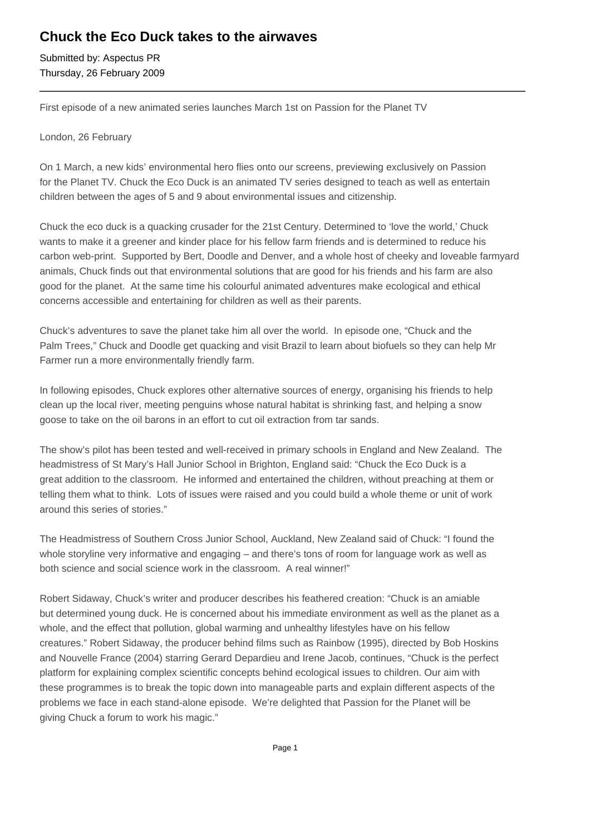## **Chuck the Eco Duck takes to the airwaves**

Submitted by: Aspectus PR Thursday, 26 February 2009

First episode of a new animated series launches March 1st on Passion for the Planet TV

London, 26 February

On 1 March, a new kids' environmental hero flies onto our screens, previewing exclusively on Passion for the Planet TV. Chuck the Eco Duck is an animated TV series designed to teach as well as entertain children between the ages of 5 and 9 about environmental issues and citizenship.

Chuck the eco duck is a quacking crusader for the 21st Century. Determined to 'love the world,' Chuck wants to make it a greener and kinder place for his fellow farm friends and is determined to reduce his carbon web-print. Supported by Bert, Doodle and Denver, and a whole host of cheeky and loveable farmyard animals, Chuck finds out that environmental solutions that are good for his friends and his farm are also good for the planet. At the same time his colourful animated adventures make ecological and ethical concerns accessible and entertaining for children as well as their parents.

Chuck's adventures to save the planet take him all over the world. In episode one, "Chuck and the Palm Trees," Chuck and Doodle get quacking and visit Brazil to learn about biofuels so they can help Mr Farmer run a more environmentally friendly farm.

In following episodes, Chuck explores other alternative sources of energy, organising his friends to help clean up the local river, meeting penguins whose natural habitat is shrinking fast, and helping a snow goose to take on the oil barons in an effort to cut oil extraction from tar sands.

The show's pilot has been tested and well-received in primary schools in England and New Zealand. The headmistress of St Mary's Hall Junior School in Brighton, England said: "Chuck the Eco Duck is a great addition to the classroom. He informed and entertained the children, without preaching at them or telling them what to think. Lots of issues were raised and you could build a whole theme or unit of work around this series of stories."

The Headmistress of Southern Cross Junior School, Auckland, New Zealand said of Chuck: "I found the whole storyline very informative and engaging – and there's tons of room for language work as well as both science and social science work in the classroom. A real winner!"

Robert Sidaway, Chuck's writer and producer describes his feathered creation: "Chuck is an amiable but determined young duck. He is concerned about his immediate environment as well as the planet as a whole, and the effect that pollution, global warming and unhealthy lifestyles have on his fellow creatures." Robert Sidaway, the producer behind films such as Rainbow (1995), directed by Bob Hoskins and Nouvelle France (2004) starring Gerard Depardieu and Irene Jacob, continues, "Chuck is the perfect platform for explaining complex scientific concepts behind ecological issues to children. Our aim with these programmes is to break the topic down into manageable parts and explain different aspects of the problems we face in each stand-alone episode. We're delighted that Passion for the Planet will be giving Chuck a forum to work his magic."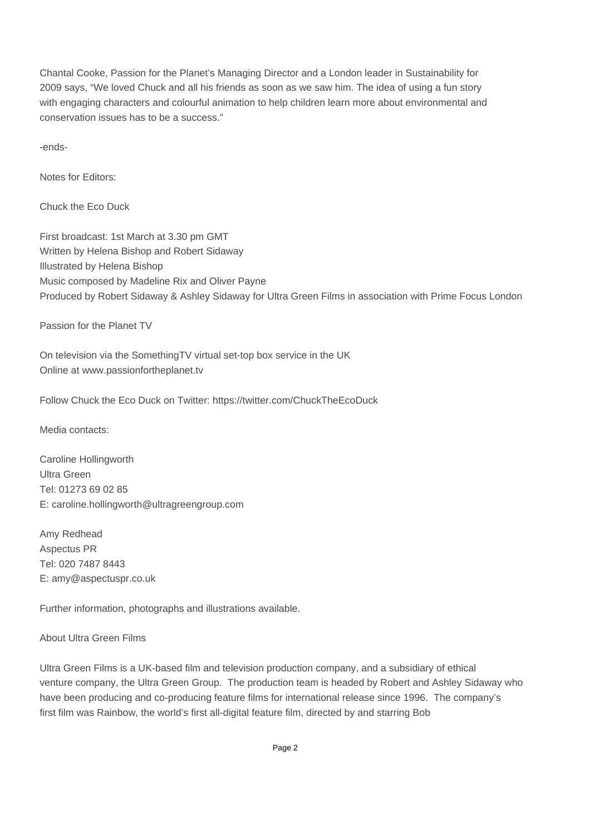Chantal Cooke, Passion for the Planet's Managing Director and a London leader in Sustainability for 2009 says, "We loved Chuck and all his friends as soon as we saw him. The idea of using a fun story with engaging characters and colourful animation to help children learn more about environmental and conservation issues has to be a success."

-ends-

Notes for Editors:

Chuck the Eco Duck

First broadcast: 1st March at 3.30 pm GMT Written by Helena Bishop and Robert Sidaway Illustrated by Helena Bishop Music composed by Madeline Rix and Oliver Payne Produced by Robert Sidaway & Ashley Sidaway for Ultra Green Films in association with Prime Focus London

Passion for the Planet TV

On television via the SomethingTV virtual set-top box service in the UK Online at www.passionfortheplanet.tv

Follow Chuck the Eco Duck on Twitter: https://twitter.com/ChuckTheEcoDuck

Media contacts:

Caroline Hollingworth Ultra Green Tel: 01273 69 02 85 E: caroline.hollingworth@ultragreengroup.com 

Amy Redhead Aspectus PR Tel: 020 7487 8443 E: amy@aspectuspr.co.uk

Further information, photographs and illustrations available.

About Ultra Green Films

Ultra Green Films is a UK-based film and television production company, and a subsidiary of ethical venture company, the Ultra Green Group. The production team is headed by Robert and Ashley Sidaway who have been producing and co-producing feature films for international release since 1996. The company's first film was Rainbow, the world's first all-digital feature film, directed by and starring Bob